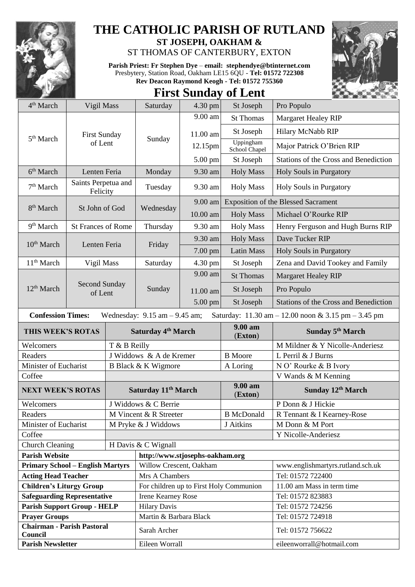

## **THE CATHOLIC PARISH OF RUTLAND**

**ST JOSEPH, OAKHAM &**  ST THOMAS OF CANTERBURY, EXTON

**Parish Priest: Fr Stephen Dye** – **[email: stephendye@btinternet.com](mailto:email:%20%20stephendye@btinternet.com)** Presbytery, Station Road, Oakham LE15 6QU - **Tel: 01572 722308 Rev Deacon Raymond Keogh - Tel: 01572 755360**



## **First Sunday of Lent**

| 4 <sup>th</sup> March                                                                                                | Vigil Mass                      |                                | Saturday                                | $4.30$ pm | St Joseph                  | Pro Populo                                   |  |  |
|----------------------------------------------------------------------------------------------------------------------|---------------------------------|--------------------------------|-----------------------------------------|-----------|----------------------------|----------------------------------------------|--|--|
|                                                                                                                      | <b>First Sunday</b><br>of Lent  |                                | Sunday                                  | 9.00 am   | <b>St Thomas</b>           | Margaret Healey RIP                          |  |  |
|                                                                                                                      |                                 |                                |                                         | 11.00 am  | St Joseph                  | Hilary McNabb RIP                            |  |  |
| 5 <sup>th</sup> March                                                                                                |                                 |                                |                                         | 12.15pm   | Uppingham<br>School Chapel | Major Patrick O'Brien RIP                    |  |  |
|                                                                                                                      |                                 |                                |                                         | 5.00 pm   | St Joseph                  | Stations of the Cross and Benediction        |  |  |
| 6 <sup>th</sup> March                                                                                                | Lenten Feria                    |                                | Monday                                  | 9.30 am   | <b>Holy Mass</b>           | Holy Souls in Purgatory                      |  |  |
| 7 <sup>th</sup> March                                                                                                | Saints Perpetua and<br>Felicity |                                | Tuesday                                 | 9.30 am   | <b>Holy Mass</b>           | <b>Holy Souls in Purgatory</b>               |  |  |
|                                                                                                                      | St John of God                  |                                | Wednesday                               | 9.00 am   |                            | <b>Exposition of the Blessed Sacrament</b>   |  |  |
| 8 <sup>th</sup> March                                                                                                |                                 |                                |                                         | 10.00 am  | <b>Holy Mass</b>           | Michael O'Rourke RIP                         |  |  |
| 9 <sup>th</sup> March                                                                                                | <b>St Frances of Rome</b>       |                                | Thursday                                | 9.30 am   | <b>Holy Mass</b>           | Henry Ferguson and Hugh Burns RIP            |  |  |
| 10 <sup>th</sup> March                                                                                               |                                 |                                |                                         | 9.30 am   | <b>Holy Mass</b>           | Dave Tucker RIP                              |  |  |
|                                                                                                                      | Lenten Feria                    |                                | Friday                                  | 7.00 pm   | <b>Latin Mass</b>          | Holy Souls in Purgatory                      |  |  |
| 11 <sup>th</sup> March                                                                                               | Vigil Mass                      |                                | Saturday                                | 4.30 pm   | St Joseph                  | Zena and David Tookey and Family             |  |  |
| 12 <sup>th</sup> March                                                                                               |                                 |                                | Sunday                                  | 9.00 am   | <b>St Thomas</b>           | <b>Margaret Healey RIP</b>                   |  |  |
|                                                                                                                      | <b>Second Sunday</b><br>of Lent |                                |                                         | 11.00 am  | St Joseph                  | Pro Populo                                   |  |  |
|                                                                                                                      |                                 |                                |                                         | 5.00 pm   | St Joseph                  | <b>Stations of the Cross and Benediction</b> |  |  |
| <b>Confession Times:</b><br>Saturday: 11.30 am - 12.00 noon & 3.15 pm - 3.45 pm<br>Wednesday: $9.15$ am $- 9.45$ am; |                                 |                                |                                         |           |                            |                                              |  |  |
| THIS WEEK'S ROTAS                                                                                                    |                                 | Saturday 4 <sup>th</sup> March |                                         |           |                            |                                              |  |  |
|                                                                                                                      |                                 |                                |                                         |           | 9.00 am<br>(Exton)         | Sunday 5 <sup>th</sup> March                 |  |  |
| Welcomers                                                                                                            |                                 | T & B Reilly                   |                                         |           |                            | M Mildner & Y Nicolle-Anderiesz              |  |  |
| Readers                                                                                                              |                                 |                                | J Widdows & A de Kremer                 |           | <b>B</b> Moore             | L Perril & J Burns                           |  |  |
| Minister of Eucharist                                                                                                |                                 |                                | B Black & K Wigmore                     |           | A Loring                   | N O' Rourke & B Ivory                        |  |  |
| Coffee                                                                                                               |                                 |                                |                                         |           |                            | V Wands & M Kenning                          |  |  |
| <b>NEXT WEEK'S ROTAS</b>                                                                                             |                                 |                                | Saturday 11 <sup>th</sup> March         |           | 9.00 am<br>(Exton)         | Sunday 12th March                            |  |  |
| Welcomers                                                                                                            |                                 |                                | J Widdows & C Berrie                    |           |                            | P Donn & J Hickie                            |  |  |
| Readers                                                                                                              |                                 |                                | M Vincent & R Streeter                  |           | <b>B</b> McDonald          | R Tennant & I Kearney-Rose                   |  |  |
| Minister of Eucharist                                                                                                |                                 |                                | M Pryke & J Widdows                     |           | J Aitkins                  | M Donn & M Port                              |  |  |
| Coffee                                                                                                               |                                 |                                |                                         |           |                            | Y Nicolle-Anderiesz                          |  |  |
| <b>Church Cleaning</b>                                                                                               |                                 |                                | H Davis & C Wignall                     |           |                            |                                              |  |  |
| <b>Parish Website</b>                                                                                                |                                 |                                | http://www.stjosephs-oakham.org         |           |                            |                                              |  |  |
| <b>Primary School - English Martyrs</b>                                                                              |                                 |                                | Willow Crescent, Oakham                 |           |                            | www.englishmartyrs.rutland.sch.uk            |  |  |
| <b>Acting Head Teacher</b>                                                                                           |                                 |                                | Mrs A Chambers                          |           |                            | Tel: 01572 722400                            |  |  |
| <b>Children's Liturgy Group</b>                                                                                      |                                 |                                | For children up to First Holy Communion |           |                            | 11.00 am Mass in term time                   |  |  |
| <b>Safeguarding Representative</b>                                                                                   |                                 |                                | <b>Irene Kearney Rose</b>               |           |                            | Tel: 01572 823883                            |  |  |
| <b>Parish Support Group - HELP</b>                                                                                   |                                 |                                | <b>Hilary Davis</b>                     |           |                            | Tel: 01572 724256                            |  |  |
| <b>Prayer Groups</b>                                                                                                 |                                 |                                | Martin & Barbara Black                  |           |                            | Tel: 01572 724918                            |  |  |
| <b>Chairman - Parish Pastoral</b><br>Council                                                                         |                                 |                                | Sarah Archer                            |           |                            | Tel: 01572 756622                            |  |  |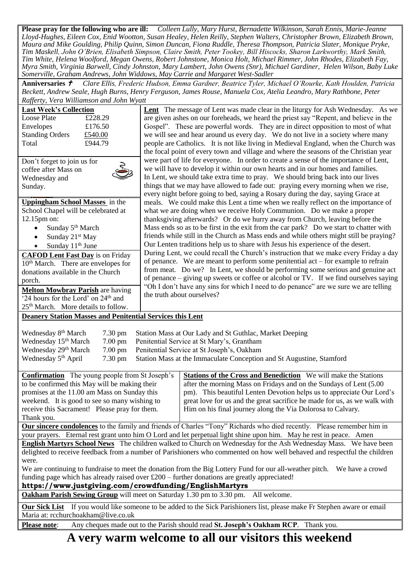**Please pray for the following who are ill:** *Colleen Lully, Mary Hurst, Bernadette Wilkinson, Sarah Ennis, Marie-Jeanne Lloyd-Hughes, Eileen Cox, Enid Wootton, Susan Healey, Helen Reilly, Stephen Walters, Christopher Brown, Elizabeth Brown, Maura and Mike Goulding, Philip Quinn, Simon Duncan, Fiona Ruddle, Theresa Thompson, Patricia Slater, Monique Pryke, Tim Maskell, John O'Brien, Elisabeth Simpson, Claire Smith, Peter Tookey, Bill Hiscocks, Sharon Larkworthy, Mark Smith, Tim White, Helena Woolford, Megan Owens, Robert Johnstone, Monica Holt, Michael Rimmer, John Rhodes, Elizabeth Fay, Myra Smith, Virginia Barwell, Cindy Johnston, Mary Lambert, John Owens (Snr), Michael Gardiner, Helen Wilson, Baby Luke Somerville, Graham Andrews, John Widdows, May Carrie and Margaret West-Sadler*

**Anniversaries**  *Clare Ellis, Frederic Hudson, Emma Gardner, Beatrice Tyler, Michael O'Rourke, Kath Houlden, Patricia Beckett, Andrew Seale, Hugh Burns, Henry Ferguson, James Rouse, Manuela Cox, Atelia Leandro, Mary Rathbone, Peter Rafferty, Vera Williamson and John Wyatt*

| <b>Last Week's Collection</b><br>Loose Plate<br>£228.29                                                                            | <b>Lent</b> The message of Lent was made clear in the liturgy for Ash Wednesday. As we<br>are given ashes on our foreheads, we heard the priest say "Repent, and believe in the |  |  |  |  |  |
|------------------------------------------------------------------------------------------------------------------------------------|---------------------------------------------------------------------------------------------------------------------------------------------------------------------------------|--|--|--|--|--|
| Envelopes<br>£176.50                                                                                                               | Gospel". These are powerful words. They are in direct opposition to most of what                                                                                                |  |  |  |  |  |
| <b>Standing Orders</b><br>£540.00                                                                                                  | we will see and hear around us every day. We do not live in a society where many                                                                                                |  |  |  |  |  |
| Total<br>£944.79                                                                                                                   | people are Catholics. It is not like living in Medieval England, when the Church was                                                                                            |  |  |  |  |  |
|                                                                                                                                    | the focal point of every town and village and where the seasons of the Christian year                                                                                           |  |  |  |  |  |
| Don't forget to join us for                                                                                                        | were part of life for everyone. In order to create a sense of the importance of Lent,                                                                                           |  |  |  |  |  |
| coffee after Mass on                                                                                                               | we will have to develop it within our own hearts and in our homes and families.                                                                                                 |  |  |  |  |  |
| Wednesday and                                                                                                                      | In Lent, we should take extra time to pray. We should bring back into our lives                                                                                                 |  |  |  |  |  |
| Sunday.                                                                                                                            | things that we may have allowed to fade out: praying every morning when we rise,                                                                                                |  |  |  |  |  |
| <b>Uppingham School Masses</b> in the                                                                                              | every night before going to bed, saying a Rosary during the day, saying Grace at                                                                                                |  |  |  |  |  |
|                                                                                                                                    | meals. We could make this Lent a time when we really reflect on the importance of                                                                                               |  |  |  |  |  |
| School Chapel will be celebrated at                                                                                                | what we are doing when we receive Holy Communion. Do we make a proper                                                                                                           |  |  |  |  |  |
| $12.15 \text{pm}$ on:                                                                                                              | thanksgiving afterwards? Or do we hurry away from Church, leaving before the                                                                                                    |  |  |  |  |  |
| Sunday 5 <sup>th</sup> March<br>$\bullet$                                                                                          | Mass ends so as to be first in the exit from the car park? Do we start to chatter with                                                                                          |  |  |  |  |  |
| Sunday 21 <sup>st</sup> May<br>$\bullet$                                                                                           | friends while still in the Church as Mass ends and while others might still be praying?                                                                                         |  |  |  |  |  |
| Sunday 11 <sup>th</sup> June<br>$\bullet$                                                                                          | Our Lenten traditions help us to share with Jesus his experience of the desert.                                                                                                 |  |  |  |  |  |
| <b>CAFOD Lent Fast Day</b> is on Friday                                                                                            | During Lent, we could recall the Church's instruction that we make every Friday a day                                                                                           |  |  |  |  |  |
| 10 <sup>th</sup> March. There are envelopes for                                                                                    | of penance. We are meant to perform some penitential $act$ – for example to refrain                                                                                             |  |  |  |  |  |
| donations available in the Church                                                                                                  | from meat. Do we? In Lent, we should be performing some serious and genuine act                                                                                                 |  |  |  |  |  |
| porch.                                                                                                                             | of penance - giving up sweets or coffee or alcohol or TV. If we find ourselves saying                                                                                           |  |  |  |  |  |
| <b>Melton Mowbray Parish</b> are having                                                                                            | "Oh I don't have any sins for which I need to do penance" are we sure we are telling                                                                                            |  |  |  |  |  |
| '24 hours for the Lord' on 24 <sup>th</sup> and                                                                                    | the truth about ourselves?                                                                                                                                                      |  |  |  |  |  |
| 25 <sup>th</sup> March. More details to follow.                                                                                    |                                                                                                                                                                                 |  |  |  |  |  |
| <b>Deanery Station Masses and Penitential Services this Lent</b>                                                                   |                                                                                                                                                                                 |  |  |  |  |  |
|                                                                                                                                    |                                                                                                                                                                                 |  |  |  |  |  |
| Wednesday 8 <sup>th</sup> March<br>7.30 pm                                                                                         | Station Mass at Our Lady and St Guthlac, Market Deeping                                                                                                                         |  |  |  |  |  |
| Wednesday 15 <sup>th</sup> March<br>7.00 pm                                                                                        | Penitential Service at St Mary's, Grantham                                                                                                                                      |  |  |  |  |  |
| Wednesday 29th March<br>$7.00 \text{ pm}$                                                                                          | Penitential Service at St Joseph's, Oakham                                                                                                                                      |  |  |  |  |  |
| Wednesday 5 <sup>th</sup> April<br>7.30 pm                                                                                         | Station Mass at the Immaculate Conception and St Augustine, Stamford                                                                                                            |  |  |  |  |  |
| <b>Confirmation</b> The young people from St Joseph's                                                                              | <b>Stations of the Cross and Benediction</b> We will make the Stations                                                                                                          |  |  |  |  |  |
| to be confirmed this May will be making their                                                                                      | after the morning Mass on Fridays and on the Sundays of Lent (5.00                                                                                                              |  |  |  |  |  |
| promises at the 11.00 am Mass on Sunday this                                                                                       | pm). This beautiful Lenten Devotion helps us to appreciate Our Lord's                                                                                                           |  |  |  |  |  |
| weekend. It is good to see so many wishing to                                                                                      | great love for us and the great sacrifice he made for us, as we walk with                                                                                                       |  |  |  |  |  |
| receive this Sacrament! Please pray for them.                                                                                      | Him on his final journey along the Via Dolorosa to Calvary.                                                                                                                     |  |  |  |  |  |
| Thank you.                                                                                                                         |                                                                                                                                                                                 |  |  |  |  |  |
| Our sincere condolences to the family and friends of Charles "Tony" Richards who died recently. Please remember him in             |                                                                                                                                                                                 |  |  |  |  |  |
| your prayers. Eternal rest grant unto him O Lord and let perpetual light shine upon him. May he rest in peace. Amen                |                                                                                                                                                                                 |  |  |  |  |  |
| English Martyrs School News The children walked to Church on Wednesday for the Ash Wednesday Mass. We have been                    |                                                                                                                                                                                 |  |  |  |  |  |
| delighted to receive feedback from a number of Parishioners who commented on how well behaved and respectful the children          |                                                                                                                                                                                 |  |  |  |  |  |
| were.                                                                                                                              |                                                                                                                                                                                 |  |  |  |  |  |
| We are continuing to fundraise to meet the donation from the Big Lottery Fund for our all-weather pitch.<br>We have a crowd        |                                                                                                                                                                                 |  |  |  |  |  |
| funding page which has already raised over $£200 -$ further donations are greatly appreciated!                                     |                                                                                                                                                                                 |  |  |  |  |  |
| https://www.justgiving.com/crowdfunding/EnglishMartyrs                                                                             |                                                                                                                                                                                 |  |  |  |  |  |
| Oakham Parish Sewing Group will meet on Saturday 1.30 pm to 3.30 pm.                                                               | All welcome.                                                                                                                                                                    |  |  |  |  |  |
| If you would like someone to be added to the Sick Parishioners list, please make Fr Stephen aware or email<br><b>Our Sick List</b> |                                                                                                                                                                                 |  |  |  |  |  |
| Maria at: rcchurchoakham@live.co.uk                                                                                                |                                                                                                                                                                                 |  |  |  |  |  |
| <b>Please note:</b>                                                                                                                | Any cheques made out to the Parish should read St. Joseph's Oakham RCP. Thank you.                                                                                              |  |  |  |  |  |
|                                                                                                                                    | A very warm welcome to all our visitors this weekend                                                                                                                            |  |  |  |  |  |